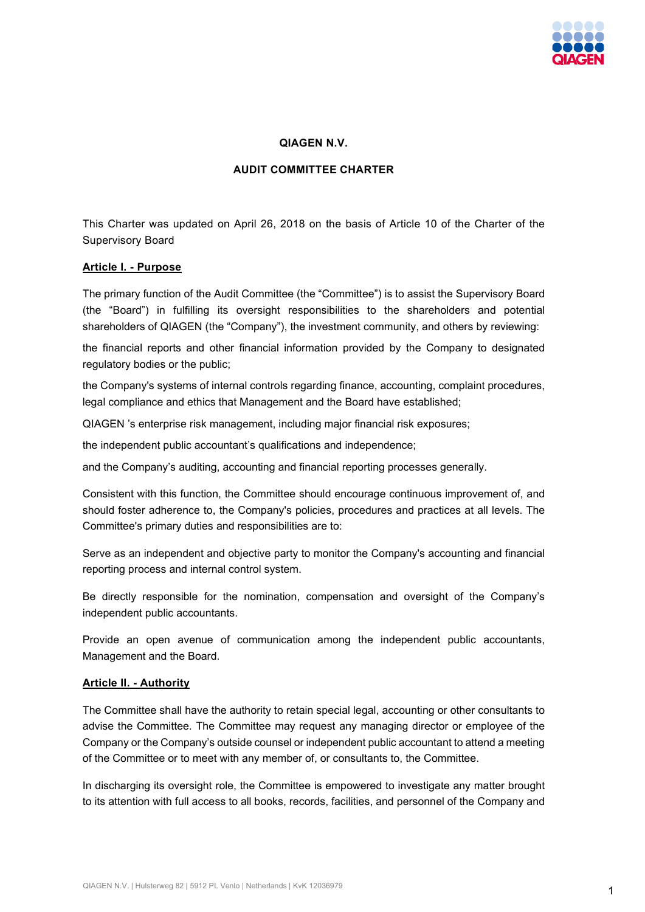

### **QIAGEN N.V.**

### **AUDIT COMMITTEE CHARTER**

This Charter was updated on April 26, 2018 on the basis of Article 10 of the Charter of the Supervisory Board

### **Article I. - Purpose**

The primary function of the Audit Committee (the "Committee") is to assist the Supervisory Board (the "Board") in fulfilling its oversight responsibilities to the shareholders and potential shareholders of QIAGEN (the "Company"), the investment community, and others by reviewing:

the financial reports and other financial information provided by the Company to designated regulatory bodies or the public;

the Company's systems of internal controls regarding finance, accounting, complaint procedures, legal compliance and ethics that Management and the Board have established;

QIAGEN 's enterprise risk management, including major financial risk exposures;

the independent public accountant's qualifications and independence;

and the Company's auditing, accounting and financial reporting processes generally.

Consistent with this function, the Committee should encourage continuous improvement of, and should foster adherence to, the Company's policies, procedures and practices at all levels. The Committee's primary duties and responsibilities are to:

Serve as an independent and objective party to monitor the Company's accounting and financial reporting process and internal control system.

Be directly responsible for the nomination, compensation and oversight of the Company's independent public accountants.

Provide an open avenue of communication among the independent public accountants, Management and the Board.

### **Article II. - Authority**

The Committee shall have the authority to retain special legal, accounting or other consultants to advise the Committee. The Committee may request any managing director or employee of the Company or the Company's outside counsel or independent public accountant to attend a meeting of the Committee or to meet with any member of, or consultants to, the Committee.

In discharging its oversight role, the Committee is empowered to investigate any matter brought to its attention with full access to all books, records, facilities, and personnel of the Company and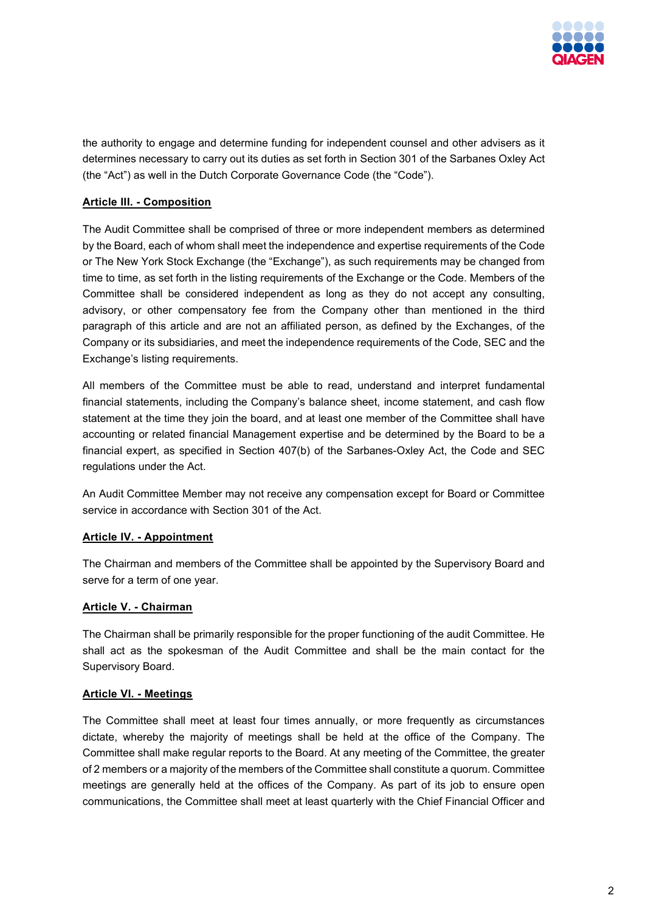

the authority to engage and determine funding for independent counsel and other advisers as it determines necessary to carry out its duties as set forth in Section 301 of the Sarbanes Oxley Act (the "Act") as well in the Dutch Corporate Governance Code (the "Code").

# **Article III. - Composition**

The Audit Committee shall be comprised of three or more independent members as determined by the Board, each of whom shall meet the independence and expertise requirements of the Code or The New York Stock Exchange (the "Exchange"), as such requirements may be changed from time to time, as set forth in the listing requirements of the Exchange or the Code. Members of the Committee shall be considered independent as long as they do not accept any consulting, advisory, or other compensatory fee from the Company other than mentioned in the third paragraph of this article and are not an affiliated person, as defined by the Exchanges, of the Company or its subsidiaries, and meet the independence requirements of the Code, SEC and the Exchange's listing requirements.

All members of the Committee must be able to read, understand and interpret fundamental financial statements, including the Company's balance sheet, income statement, and cash flow statement at the time they join the board, and at least one member of the Committee shall have accounting or related financial Management expertise and be determined by the Board to be a financial expert, as specified in Section 407(b) of the Sarbanes-Oxley Act, the Code and SEC regulations under the Act.

An Audit Committee Member may not receive any compensation except for Board or Committee service in accordance with Section 301 of the Act.

# **Article IV. - Appointment**

The Chairman and members of the Committee shall be appointed by the Supervisory Board and serve for a term of one year.

# **Article V. - Chairman**

The Chairman shall be primarily responsible for the proper functioning of the audit Committee. He shall act as the spokesman of the Audit Committee and shall be the main contact for the Supervisory Board.

## **Article VI. - Meetings**

The Committee shall meet at least four times annually, or more frequently as circumstances dictate, whereby the majority of meetings shall be held at the office of the Company. The Committee shall make regular reports to the Board. At any meeting of the Committee, the greater of 2 members or a majority of the members of the Committee shall constitute a quorum. Committee meetings are generally held at the offices of the Company. As part of its job to ensure open communications, the Committee shall meet at least quarterly with the Chief Financial Officer and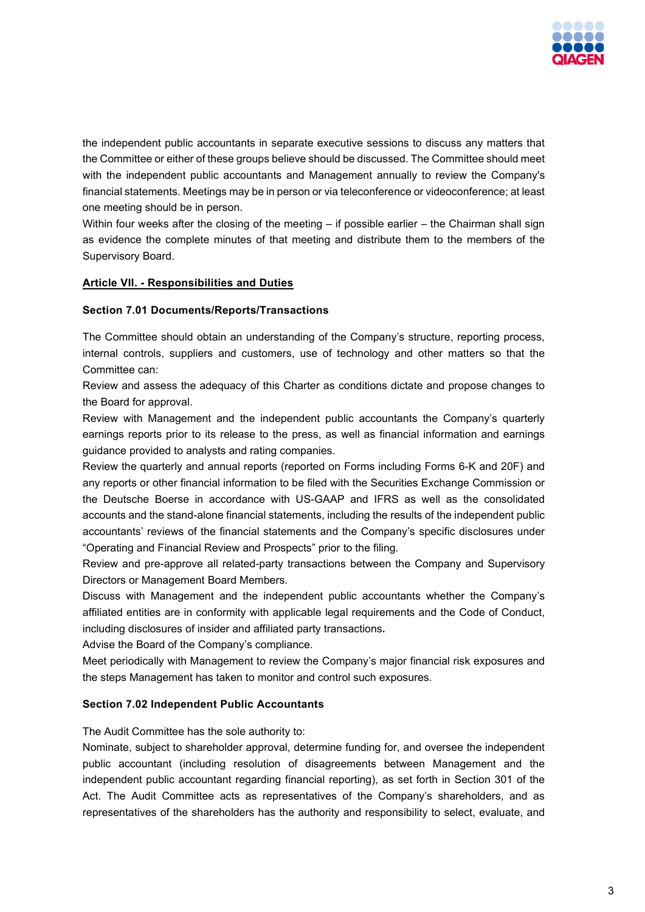

the independent public accountants in separate executive sessions to discuss any matters that the Committee or either of these groups believe should be discussed. The Committee should meet with the independent public accountants and Management annually to review the Company's financial statements. Meetings may be in person or via teleconference or videoconference; at least one meeting should be in person.

Within four weeks after the closing of the meeting – if possible earlier – the Chairman shall sign as evidence the complete minutes of that meeting and distribute them to the members of the Supervisory Board.

## **Article VII. - Responsibilities and Duties**

### **Section 7.01 Documents/Reports/Transactions**

The Committee should obtain an understanding of the Company's structure, reporting process, internal controls, suppliers and customers, use of technology and other matters so that the Committee can:

Review and assess the adequacy of this Charter as conditions dictate and propose changes to the Board for approval.

Review with Management and the independent public accountants the Company's quarterly earnings reports prior to its release to the press, as well as financial information and earnings guidance provided to analysts and rating companies.

Review the quarterly and annual reports (reported on Forms including Forms 6-K and 20F) and any reports or other financial information to be filed with the Securities Exchange Commission or the Deutsche Boerse in accordance with US-GAAP and IFRS as well as the consolidated accounts and the stand-alone financial statements, including the results of the independent public accountants' reviews of the financial statements and the Company's specific disclosures under "Operating and Financial Review and Prospects" prior to the filing.

Review and pre-approve all related-party transactions between the Company and Supervisory Directors or Management Board Members.

Discuss with Management and the independent public accountants whether the Company's affiliated entities are in conformity with applicable legal requirements and the Code of Conduct, including disclosures of insider and affiliated party transactions**.** 

Advise the Board of the Company's compliance.

Meet periodically with Management to review the Company's major financial risk exposures and the steps Management has taken to monitor and control such exposures.

### **Section 7.02 Independent Public Accountants**

The Audit Committee has the sole authority to:

Nominate, subject to shareholder approval, determine funding for, and oversee the independent public accountant (including resolution of disagreements between Management and the independent public accountant regarding financial reporting), as set forth in Section 301 of the Act. The Audit Committee acts as representatives of the Company's shareholders, and as representatives of the shareholders has the authority and responsibility to select, evaluate, and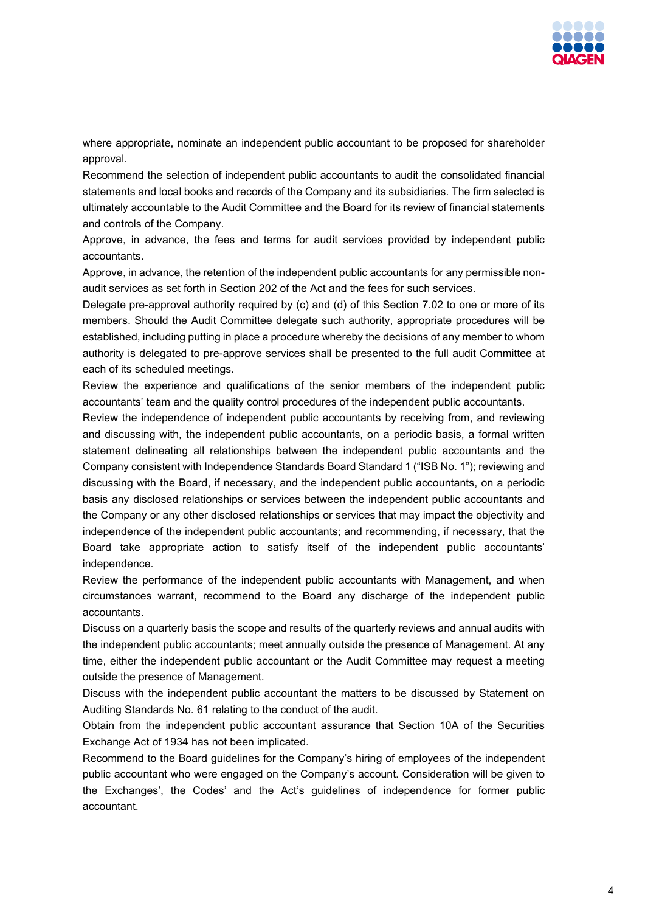

where appropriate, nominate an independent public accountant to be proposed for shareholder approval.

Recommend the selection of independent public accountants to audit the consolidated financial statements and local books and records of the Company and its subsidiaries. The firm selected is ultimately accountable to the Audit Committee and the Board for its review of financial statements and controls of the Company.

Approve, in advance, the fees and terms for audit services provided by independent public accountants.

Approve, in advance, the retention of the independent public accountants for any permissible nonaudit services as set forth in Section 202 of the Act and the fees for such services.

Delegate pre-approval authority required by (c) and (d) of this Section 7.02 to one or more of its members. Should the Audit Committee delegate such authority, appropriate procedures will be established, including putting in place a procedure whereby the decisions of any member to whom authority is delegated to pre-approve services shall be presented to the full audit Committee at each of its scheduled meetings.

Review the experience and qualifications of the senior members of the independent public accountants' team and the quality control procedures of the independent public accountants.

Review the independence of independent public accountants by receiving from, and reviewing and discussing with, the independent public accountants, on a periodic basis, a formal written statement delineating all relationships between the independent public accountants and the Company consistent with Independence Standards Board Standard 1 ("ISB No. 1"); reviewing and discussing with the Board, if necessary, and the independent public accountants, on a periodic basis any disclosed relationships or services between the independent public accountants and the Company or any other disclosed relationships or services that may impact the objectivity and independence of the independent public accountants; and recommending, if necessary, that the Board take appropriate action to satisfy itself of the independent public accountants' independence.

Review the performance of the independent public accountants with Management, and when circumstances warrant, recommend to the Board any discharge of the independent public accountants.

Discuss on a quarterly basis the scope and results of the quarterly reviews and annual audits with the independent public accountants; meet annually outside the presence of Management. At any time, either the independent public accountant or the Audit Committee may request a meeting outside the presence of Management.

Discuss with the independent public accountant the matters to be discussed by Statement on Auditing Standards No. 61 relating to the conduct of the audit.

Obtain from the independent public accountant assurance that Section 10A of the Securities Exchange Act of 1934 has not been implicated.

Recommend to the Board guidelines for the Company's hiring of employees of the independent public accountant who were engaged on the Company's account. Consideration will be given to the Exchanges', the Codes' and the Act's guidelines of independence for former public accountant.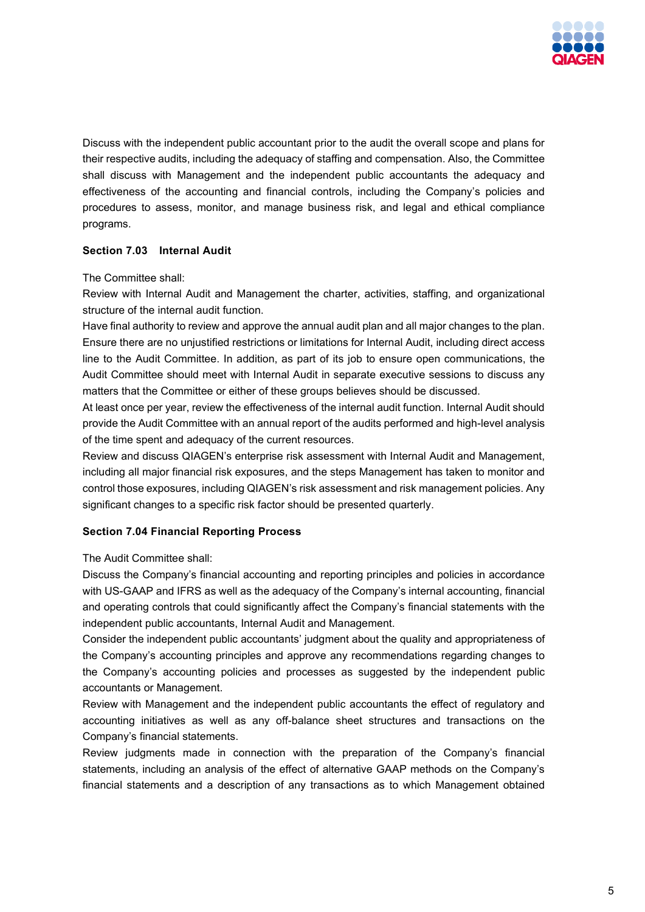

Discuss with the independent public accountant prior to the audit the overall scope and plans for their respective audits, including the adequacy of staffing and compensation. Also, the Committee shall discuss with Management and the independent public accountants the adequacy and effectiveness of the accounting and financial controls, including the Company's policies and procedures to assess, monitor, and manage business risk, and legal and ethical compliance programs.

# **Section 7.03 Internal Audit**

The Committee shall:

Review with Internal Audit and Management the charter, activities, staffing, and organizational structure of the internal audit function.

Have final authority to review and approve the annual audit plan and all major changes to the plan. Ensure there are no unjustified restrictions or limitations for Internal Audit, including direct access line to the Audit Committee. In addition, as part of its job to ensure open communications, the Audit Committee should meet with Internal Audit in separate executive sessions to discuss any matters that the Committee or either of these groups believes should be discussed.

At least once per year, review the effectiveness of the internal audit function. Internal Audit should provide the Audit Committee with an annual report of the audits performed and high-level analysis of the time spent and adequacy of the current resources.

Review and discuss QIAGEN's enterprise risk assessment with Internal Audit and Management, including all major financial risk exposures, and the steps Management has taken to monitor and control those exposures, including QIAGEN's risk assessment and risk management policies. Any significant changes to a specific risk factor should be presented quarterly.

# **Section 7.04 Financial Reporting Process**

The Audit Committee shall:

Discuss the Company's financial accounting and reporting principles and policies in accordance with US-GAAP and IFRS as well as the adequacy of the Company's internal accounting, financial and operating controls that could significantly affect the Company's financial statements with the independent public accountants, Internal Audit and Management.

Consider the independent public accountants' judgment about the quality and appropriateness of the Company's accounting principles and approve any recommendations regarding changes to the Company's accounting policies and processes as suggested by the independent public accountants or Management.

Review with Management and the independent public accountants the effect of regulatory and accounting initiatives as well as any off-balance sheet structures and transactions on the Company's financial statements.

Review judgments made in connection with the preparation of the Company's financial statements, including an analysis of the effect of alternative GAAP methods on the Company's financial statements and a description of any transactions as to which Management obtained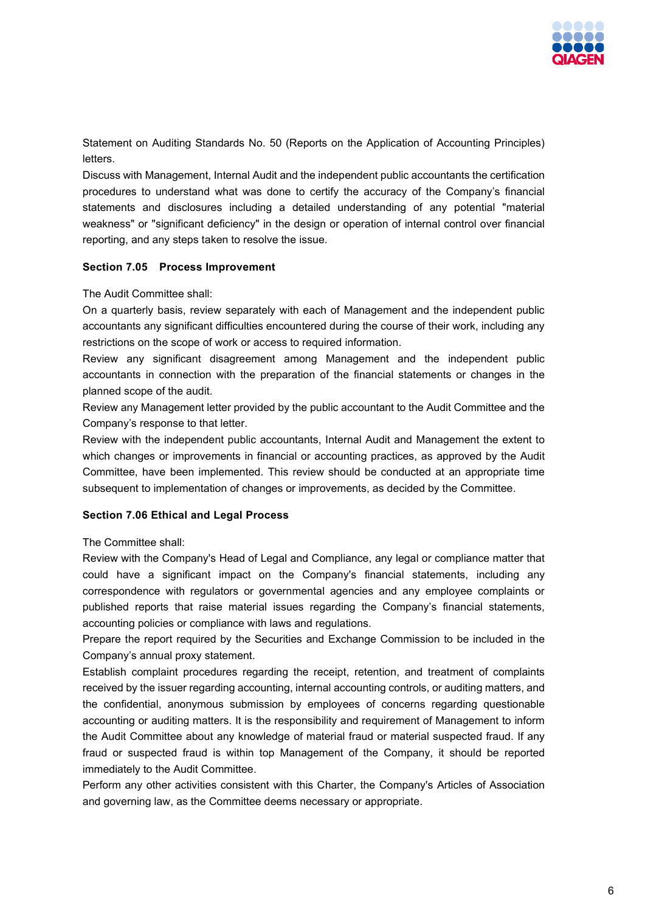

Statement on Auditing Standards No. 50 (Reports on the Application of Accounting Principles) letters.

Discuss with Management, Internal Audit and the independent public accountants the certification procedures to understand what was done to certify the accuracy of the Company's financial statements and disclosures including a detailed understanding of any potential "material weakness" or "significant deficiency" in the design or operation of internal control over financial reporting, and any steps taken to resolve the issue.

## **Section 7.05 Process Improvement**

The Audit Committee shall:

On a quarterly basis, review separately with each of Management and the independent public accountants any significant difficulties encountered during the course of their work, including any restrictions on the scope of work or access to required information.

Review any significant disagreement among Management and the independent public accountants in connection with the preparation of the financial statements or changes in the planned scope of the audit.

Review any Management letter provided by the public accountant to the Audit Committee and the Company's response to that letter.

Review with the independent public accountants, Internal Audit and Management the extent to which changes or improvements in financial or accounting practices, as approved by the Audit Committee, have been implemented. This review should be conducted at an appropriate time subsequent to implementation of changes or improvements, as decided by the Committee.

## **Section 7.06 Ethical and Legal Process**

The Committee shall:

Review with the Company's Head of Legal and Compliance, any legal or compliance matter that could have a significant impact on the Company's financial statements, including any correspondence with regulators or governmental agencies and any employee complaints or published reports that raise material issues regarding the Company's financial statements, accounting policies or compliance with laws and regulations.

Prepare the report required by the Securities and Exchange Commission to be included in the Company's annual proxy statement.

Establish complaint procedures regarding the receipt, retention, and treatment of complaints received by the issuer regarding accounting, internal accounting controls, or auditing matters, and the confidential, anonymous submission by employees of concerns regarding questionable accounting or auditing matters. It is the responsibility and requirement of Management to inform the Audit Committee about any knowledge of material fraud or material suspected fraud. If any fraud or suspected fraud is within top Management of the Company, it should be reported immediately to the Audit Committee.

Perform any other activities consistent with this Charter, the Company's Articles of Association and governing law, as the Committee deems necessary or appropriate.